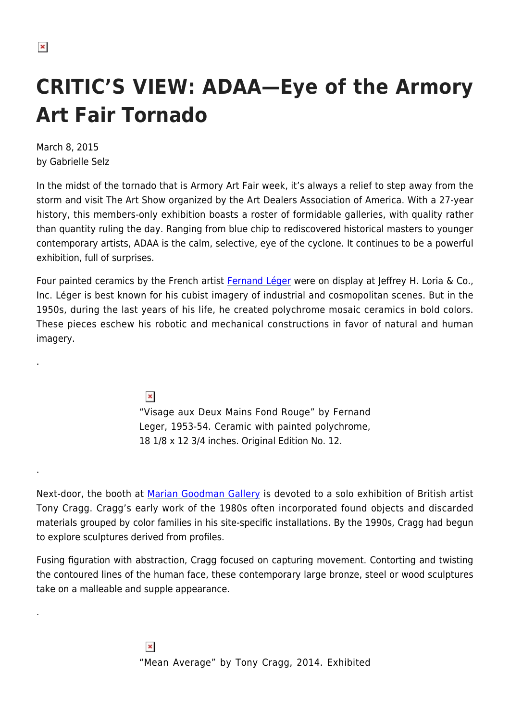.

.

.

## **CRITIC'S VIEW: ADAA—Eye of the Armory Art Fair Tornado**

March 8, 2015 by Gabrielle Selz

In the midst of the tornado that is Armory Art Fair week, it's always a relief to step away from the storm and visit The Art Show organized by the Art Dealers Association of America. With a 27-year history, this members-only exhibition boasts a roster of formidable galleries, with quality rather than quantity ruling the day. Ranging from blue chip to rediscovered historical masters to younger contemporary artists, ADAA is the calm, selective, eye of the cyclone. It continues to be a powerful exhibition, full of surprises.

Four painted ceramics by the French artist [Fernand Léger](http://www.theartstory.org/artist-leger-fernand.htm) were on display at Jeffrey H. Loria & Co., Inc. Léger is best known for his cubist imagery of industrial and cosmopolitan scenes. But in the 1950s, during the last years of his life, he created polychrome mosaic ceramics in bold colors. These pieces eschew his robotic and mechanical constructions in favor of natural and human imagery.

 $\pmb{\times}$ 

"Visage aux Deux Mains Fond Rouge" by Fernand Leger, 1953-54. Ceramic with painted polychrome, 18 1/8 x 12 3/4 inches. Original Edition No. 12.

Next-door, the booth at [Marian Goodman Gallery](http://www.mariangoodman.com) is devoted to a solo exhibition of British artist Tony Cragg. Cragg's early work of the 1980s often incorporated found objects and discarded materials grouped by color families in his site-specific installations. By the 1990s, Cragg had begun to explore sculptures derived from profiles.

Fusing figuration with abstraction, Cragg focused on capturing movement. Contorting and twisting the contoured lines of the human face, these contemporary large bronze, steel or wood sculptures take on a malleable and supple appearance.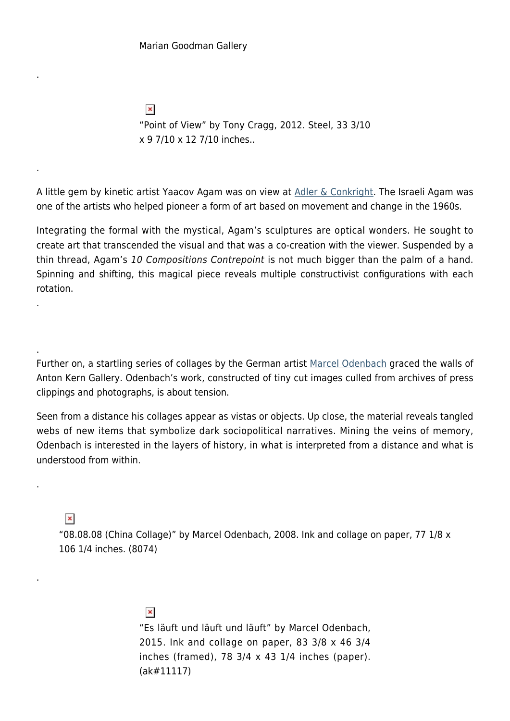$\pmb{\times}$ "Point of View" by Tony Cragg, 2012. Steel, 33 3/10 x 9 7/10 x 12 7/10 inches..

A little gem by kinetic artist Yaacov Agam was on view at [Adler & Conkright.](http://www.adlerconkrightarts.com) The Israeli Agam was one of the artists who helped pioneer a form of art based on movement and change in the 1960s.

Integrating the formal with the mystical, Agam's sculptures are optical wonders. He sought to create art that transcended the visual and that was a co-creation with the viewer. Suspended by a thin thread, Agam's 10 Compositions Contrepoint is not much bigger than the palm of a hand. Spinning and shifting, this magical piece reveals multiple constructivist configurations with each rotation.

Further on, a startling series of collages by the German artist [Marcel Odenbach](http://www.antonkerngallery.com/artist/marcel-odenbach) graced the walls of Anton Kern Gallery. Odenbach's work, constructed of tiny cut images culled from archives of press clippings and photographs, is about tension.

Seen from a distance his collages appear as vistas or objects. Up close, the material reveals tangled webs of new items that symbolize dark sociopolitical narratives. Mining the veins of memory, Odenbach is interested in the layers of history, in what is interpreted from a distance and what is understood from within.

 $\pmb{\times}$ 

.

.

.

.

.

.

"08.08.08 (China Collage)" by Marcel Odenbach, 2008. Ink and collage on paper, 77 1/8 x 106 1/4 inches. (8074)

> $\pmb{\times}$ "Es läuft und läuft und läuft" by Marcel Odenbach, 2015. Ink and collage on paper, 83 3/8 x 46 3/4 inches (framed), 78  $3/4 \times 43$  1/4 inches (paper). (ak#11117)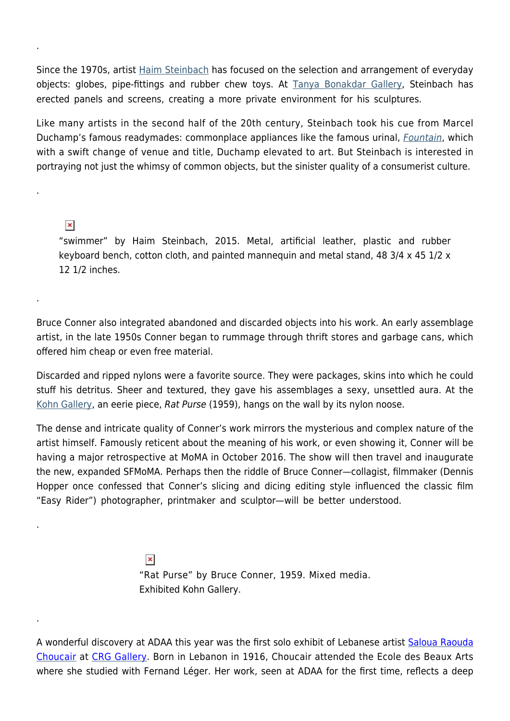Since the 1970s, artist [Haim Steinbach](http://www.haimsteinbach.net) has focused on the selection and arrangement of everyday objects: globes, pipe-fittings and rubber chew toys. At **Tanya Bonakdar Gallery**, Steinbach has erected panels and screens, creating a more private environment for his sculptures.

Like many artists in the second half of the 20th century, Steinbach took his cue from Marcel Duchamp's famous readymades: commonplace appliances like the famous urinal, *[Fountain](http://www.tate.org.uk/art/artworks/duchamp-fountain-t07573)*, which with a swift change of venue and title, Duchamp elevated to art. But Steinbach is interested in portraying not just the whimsy of common objects, but the sinister quality of a consumerist culture.

 $\pmb{\times}$ 

.

.

.

.

.

"swimmer" by Haim Steinbach, 2015. Metal, artificial leather, plastic and rubber keyboard bench, cotton cloth, and painted mannequin and metal stand, 48 3/4 x 45 1/2 x 12 1/2 inches.

Bruce Conner also integrated abandoned and discarded objects into his work. An early assemblage artist, in the late 1950s Conner began to rummage through thrift stores and garbage cans, which offered him cheap or even free material.

Discarded and ripped nylons were a favorite source. They were packages, skins into which he could stuff his detritus. Sheer and textured, they gave his assemblages a sexy, unsettled aura. At the [Kohn Gallery](http://www.kohngallery.com/conner-exhibitions/2014/11/7/bruce-conner-works-on-paper), an eerie piece, Rat Purse (1959), hangs on the wall by its nylon noose.

The dense and intricate quality of Conner's work mirrors the mysterious and complex nature of the artist himself. Famously reticent about the meaning of his work, or even showing it, Conner will be having a major retrospective at MoMA in October 2016. The show will then travel and inaugurate the new, expanded SFMoMA. Perhaps then the riddle of Bruce Conner—collagist, filmmaker (Dennis Hopper once confessed that Conner's slicing and dicing editing style influenced the classic film "Easy Rider") photographer, printmaker and sculptor—will be better understood.

> $\pmb{\times}$ "Rat Purse" by Bruce Conner, 1959. Mixed media. Exhibited Kohn Gallery.

A wonderful discovery at ADAA this year was the first solo exhibit of Lebanese artist [Saloua Raouda](http://www.tate.org.uk/whats-on/tate-modern/exhibition/saloua-raouda-choucair) [Choucair](http://www.tate.org.uk/whats-on/tate-modern/exhibition/saloua-raouda-choucair) at [CRG Gallery](http://crggallery.com/). Born in Lebanon in 1916, Choucair attended the Ecole des Beaux Arts where she studied with Fernand Léger. Her work, seen at ADAA for the first time, reflects a deep